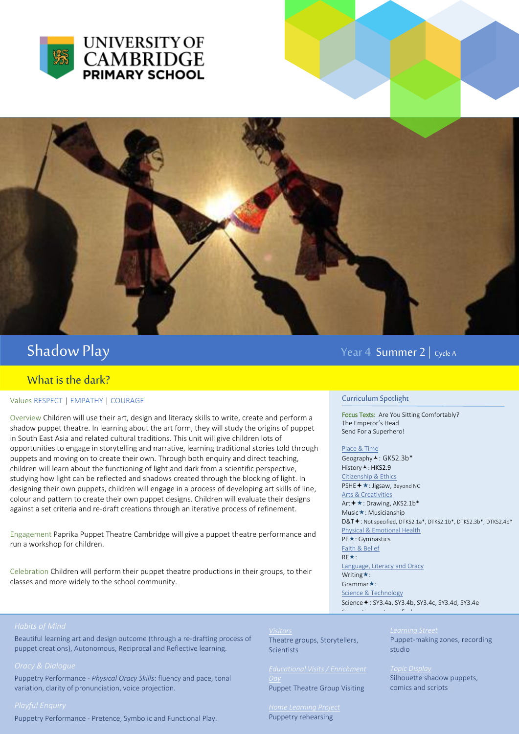



Shadow Play Xang and California and California and California and California and Year 4 Summer 2 | Cycle A

# What is the dark?

### Values RESPECT | EMPATHY | COURAGE

Overview Children will use their art, design and literacy skills to write, create and perform a shadow puppet theatre. In learning about the art form, they will study the origins of puppet in South East Asia and related cultural traditions. This unit will give children lots of opportunities to engage in storytelling and narrative, learning traditional stories told through puppets and moving on to create their own. Through both enquiry and direct teaching, children will learn about the functioning of light and dark from a scientific perspective, studying how light can be reflected and shadows created through the blocking of light. In designing their own puppets, children will engage in a process of developing art skills of line, colour and pattern to create their own puppet designs. Children will evaluate their designs against a set criteria and re-draft creations through an iterative process of refinement.

Engagement Paprika Puppet Theatre Cambridge will give a puppet theatre performance and run a workshop for children.

Celebration Children will perform their puppet theatre productions in their groups, to their classes and more widely to the school community.

### Curriculum Spotlight

Focus Texts: Are You Sitting Comfortably? The Emperor's Head Send For a Superhero!

### Place & Time

Geography  $\overline{\phantom{a}}$ : GKS2.3b\* History **A**: HKS2.9 Citizenship & Ethics PSHE + ★: Jigsaw, Beyond NC Arts & Creativities Art **+ ★**: Drawing, AKS2.1b\* Music**\***: Musicianship D&T+: Not specified, DTKS2.1a\*, DTKS2.1b\*, DTKS2.3b\*, DTKS2.4b\* Physical & Emotional Health PE **★**: Gymnastics Faith & Belief RF<sup>\*</sup>: Language, Literacy and Oracy Writing $\star$ : Grammar<sup>\*</sup>: Science & Technology

Science +: SY3.4a, SY3.4b, SY3.4c, SY3.4d, SY3.4e <u>computing: not specified</u>

Beautiful learning art and design outcome (through a re-drafting process of puppet creations), Autonomous, Reciprocal and Reflective learning.

Puppetry Performance - *Physical Oracy Skills*: fluency and pace, tonal variation, clarity of pronunciation, voice projection.

Puppetry Performance - Pretence, Symbolic and Functional Play.

## *Visitors*

Theatre groups, Storytellers, Scientists

### *Educational Visits / Enrichment*

*Day*  Puppet Theatre Group Visiting

Puppetry rehearsing

Puppet-making zones, recording studio

Silhouette shadow puppets, comics and scripts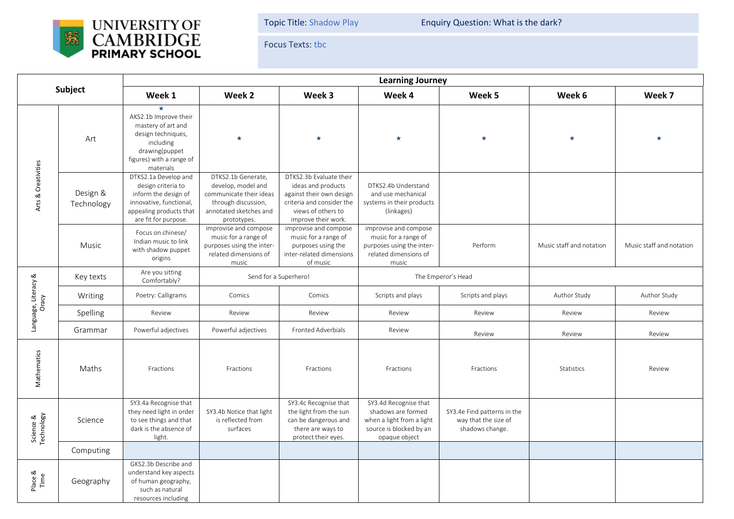

Topic Title: Shadow Play Enquiry Question: What is the dark?

Focus Texts: tbc

| Subject                       |                        | <b>Learning Journey</b>                                                                                                                          |                                                                                                                                     |                                                                                                                                                     |                                                                                                                      |                                                                        |                          |                          |  |  |  |
|-------------------------------|------------------------|--------------------------------------------------------------------------------------------------------------------------------------------------|-------------------------------------------------------------------------------------------------------------------------------------|-----------------------------------------------------------------------------------------------------------------------------------------------------|----------------------------------------------------------------------------------------------------------------------|------------------------------------------------------------------------|--------------------------|--------------------------|--|--|--|
|                               |                        | Week 1                                                                                                                                           | Week 2                                                                                                                              | Week 3                                                                                                                                              | Week 4                                                                                                               | Week 5                                                                 | Week 6                   | Week 7                   |  |  |  |
| Arts & Creativities           | Art                    | AKS2.1b Improve their<br>mastery of art and<br>design techniques,<br>including<br>drawing(puppet<br>figures) with a range of<br>materials        | ★                                                                                                                                   | $\star$                                                                                                                                             | $\star$                                                                                                              | $\star$                                                                | $\star$                  |                          |  |  |  |
|                               | Design &<br>Technology | DTKS2.1a Develop and<br>design criteria to<br>inform the design of<br>innovative, functional,<br>appealing products that<br>are fit for purpose. | DTKS2.1b Generate,<br>develop, model and<br>communicate their ideas<br>through discussion,<br>annotated sketches and<br>prototypes. | DTKS2.3b Evaluate their<br>ideas and products<br>against their own design<br>criteria and consider the<br>views of others to<br>improve their work. | DTKS2.4b Understand<br>and use mechanical<br>systems in their products<br>(linkages)                                 |                                                                        |                          |                          |  |  |  |
|                               | Music                  | Focus on chinese/<br>Indian music to link<br>with shadow puppet<br>origins                                                                       | improvise and compose<br>music for a range of<br>purposes using the inter-<br>related dimensions of<br>music                        | improvise and compose<br>music for a range of<br>purposes using the<br>inter-related dimensions<br>of music                                         | improvise and compose<br>music for a range of<br>purposes using the inter-<br>related dimensions of<br>music         | Perform                                                                | Music staff and notation | Music staff and notation |  |  |  |
|                               | Key texts              | Are you sitting<br>Comfortably?                                                                                                                  | Send for a Superhero!                                                                                                               |                                                                                                                                                     | The Emperor's Head                                                                                                   |                                                                        |                          |                          |  |  |  |
| Language, Literacy &<br>Oracy | Writing                | Poetry: Calligrams                                                                                                                               | Comics                                                                                                                              | Comics                                                                                                                                              | Scripts and plays                                                                                                    | Scripts and plays                                                      | Author Study             | Author Study             |  |  |  |
|                               | Spelling               | Review                                                                                                                                           | Review                                                                                                                              | Review                                                                                                                                              | Review                                                                                                               | Review                                                                 | Review                   | Review                   |  |  |  |
|                               | Grammar                | Powerful adjectives                                                                                                                              | Powerful adjectives                                                                                                                 | Fronted Adverbials                                                                                                                                  | Review                                                                                                               | Review                                                                 | Review                   | Review                   |  |  |  |
| Mathematics                   | Maths                  | Fractions                                                                                                                                        | Fractions                                                                                                                           | Fractions                                                                                                                                           | Fractions                                                                                                            | Fractions                                                              | Statistics               | Review                   |  |  |  |
| Science &<br>Technology       | Science                | SY3.4a Recognise that<br>they need light in order<br>to see things and that<br>dark is the absence of<br>light.                                  | SY3.4b Notice that light<br>is reflected from<br>surfaces                                                                           | SY3.4c Recognise that<br>the light from the sun<br>can be dangerous and<br>there are ways to<br>protect their eyes.                                 | SY3.4d Recognise that<br>shadows are formed<br>when a light from a light<br>source is blocked by an<br>opaque object | SY3.4e Find patterns in the<br>way that the size of<br>shadows change. |                          |                          |  |  |  |
|                               | Computing              |                                                                                                                                                  |                                                                                                                                     |                                                                                                                                                     |                                                                                                                      |                                                                        |                          |                          |  |  |  |
| Place &<br>Time               | Geography              | GKS2.3b Describe and<br>understand key aspects<br>of human geography,<br>such as natural<br>resources including                                  |                                                                                                                                     |                                                                                                                                                     |                                                                                                                      |                                                                        |                          |                          |  |  |  |